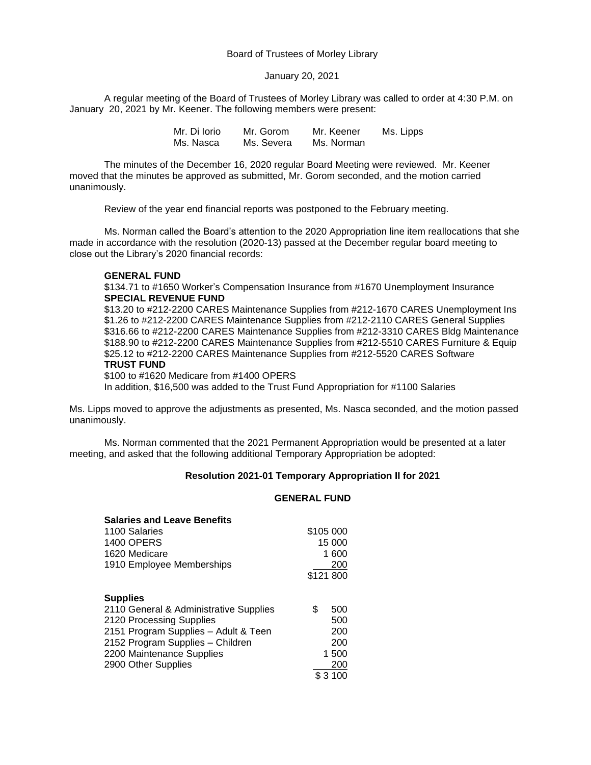## Board of Trustees of Morley Library

#### January 20, 2021

A regular meeting of the Board of Trustees of Morley Library was called to order at 4:30 P.M. on January 20, 2021 by Mr. Keener. The following members were present:

> Mr. Di Iorio Mr. Gorom Mr. Keener Ms. Lipps Ms. Nasca Ms. Severa Ms. Norman

The minutes of the December 16, 2020 regular Board Meeting were reviewed. Mr. Keener moved that the minutes be approved as submitted, Mr. Gorom seconded, and the motion carried unanimously.

Review of the year end financial reports was postponed to the February meeting.

Ms. Norman called the Board's attention to the 2020 Appropriation line item reallocations that she made in accordance with the resolution (2020-13) passed at the December regular board meeting to close out the Library's 2020 financial records:

### **GENERAL FUND**

\$134.71 to #1650 Worker's Compensation Insurance from #1670 Unemployment Insurance **SPECIAL REVENUE FUND**

\$13.20 to #212-2200 CARES Maintenance Supplies from #212-1670 CARES Unemployment Ins \$1.26 to #212-2200 CARES Maintenance Supplies from #212-2110 CARES General Supplies \$316.66 to #212-2200 CARES Maintenance Supplies from #212-3310 CARES Bldg Maintenance \$188.90 to #212-2200 CARES Maintenance Supplies from #212-5510 CARES Furniture & Equip \$25.12 to #212-2200 CARES Maintenance Supplies from #212-5520 CARES Software **TRUST FUND**

\$100 to #1620 Medicare from #1400 OPERS

In addition, \$16,500 was added to the Trust Fund Appropriation for #1100 Salaries

Ms. Lipps moved to approve the adjustments as presented, Ms. Nasca seconded, and the motion passed unanimously.

Ms. Norman commented that the 2021 Permanent Appropriation would be presented at a later meeting, and asked that the following additional Temporary Appropriation be adopted:

### **Resolution 2021-01 Temporary Appropriation II for 2021**

#### **GENERAL FUND**

| <b>Salaries and Leave Benefits</b>     |           |          |
|----------------------------------------|-----------|----------|
| 1100 Salaries                          | \$105 000 |          |
| <b>1400 OPERS</b>                      | 15 000    |          |
| 1620 Medicare                          | 1 600     |          |
| 1910 Employee Memberships              | 200       |          |
|                                        | \$121 800 |          |
|                                        |           |          |
| <b>Supplies</b>                        |           |          |
| 2110 General & Administrative Supplies | \$        | 500      |
| 2120 Processing Supplies               |           | 500      |
| 2151 Program Supplies - Adult & Teen   |           | 200      |
| 2152 Program Supplies - Children       |           | 200      |
| 2200 Maintenance Supplies              | 1 500     |          |
| 2900 Other Supplies                    |           | 200      |
|                                        |           | \$ 3 100 |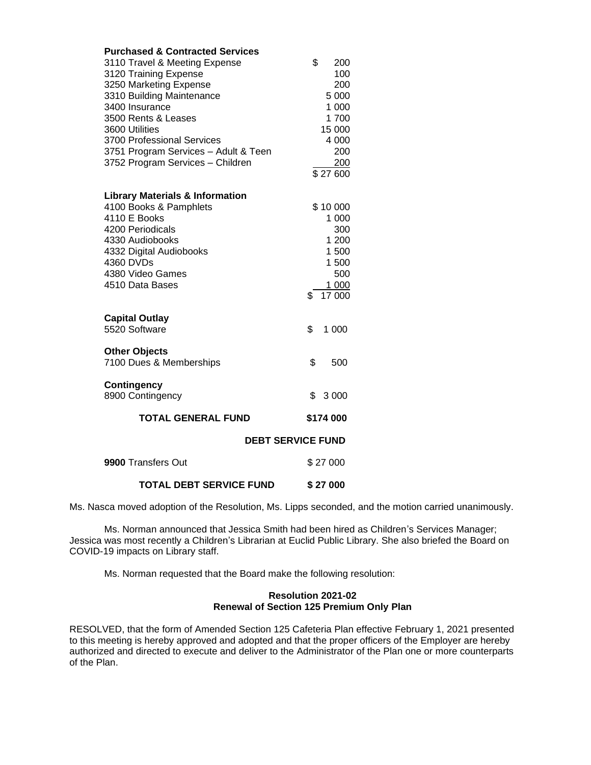| <b>Purchased &amp; Contracted Services</b> |           |          |  |
|--------------------------------------------|-----------|----------|--|
| 3110 Travel & Meeting Expense              | \$        | 200      |  |
| 3120 Training Expense                      |           | 100      |  |
| 3250 Marketing Expense                     |           | 200      |  |
| 3310 Building Maintenance                  |           | 5 000    |  |
| 3400 Insurance                             |           | 1 000    |  |
| 3500 Rents & Leases                        |           | 1700     |  |
| 3600 Utilities                             |           | 15 000   |  |
| 3700 Professional Services                 |           | 4 000    |  |
| 3751 Program Services - Adult & Teen       |           | 200      |  |
| 3752 Program Services - Children           |           | 200      |  |
|                                            |           | \$27600  |  |
| <b>Library Materials &amp; Information</b> |           |          |  |
| 4100 Books & Pamphlets                     |           | \$10 000 |  |
| 4110 E Books                               |           | 1 000    |  |
| 4200 Periodicals                           |           | 300      |  |
| 4330 Audiobooks                            |           | 1 200    |  |
| 4332 Digital Audiobooks                    |           | 1 500    |  |
| 4360 DVDs                                  |           | 1 500    |  |
| 4380 Video Games                           |           | 500      |  |
| 4510 Data Bases                            |           | 1 000    |  |
|                                            | \$        | 17 000   |  |
| <b>Capital Outlay</b>                      |           |          |  |
| 5520 Software                              | \$        | 1 000    |  |
| <b>Other Objects</b>                       |           |          |  |
| 7100 Dues & Memberships                    | \$        | 500      |  |
| <b>Contingency</b>                         |           |          |  |
| 8900 Contingency                           | \$        | 3 0 0 0  |  |
| <b>TOTAL GENERAL FUND</b>                  | \$174 000 |          |  |
| <b>DEBT SERVICE FUND</b>                   |           |          |  |
| 9900 Transfers Out                         | \$27 000  |          |  |
| <b>TOTAL DEBT SERVICE FUND</b>             | \$27000   |          |  |

Ms. Nasca moved adoption of the Resolution, Ms. Lipps seconded, and the motion carried unanimously.

Ms. Norman announced that Jessica Smith had been hired as Children's Services Manager; Jessica was most recently a Children's Librarian at Euclid Public Library. She also briefed the Board on COVID-19 impacts on Library staff.

Ms. Norman requested that the Board make the following resolution:

# **Resolution 2021-02 Renewal of Section 125 Premium Only Plan**

RESOLVED, that the form of Amended Section 125 Cafeteria Plan effective February 1, 2021 presented to this meeting is hereby approved and adopted and that the proper officers of the Employer are hereby authorized and directed to execute and deliver to the Administrator of the Plan one or more counterparts of the Plan.